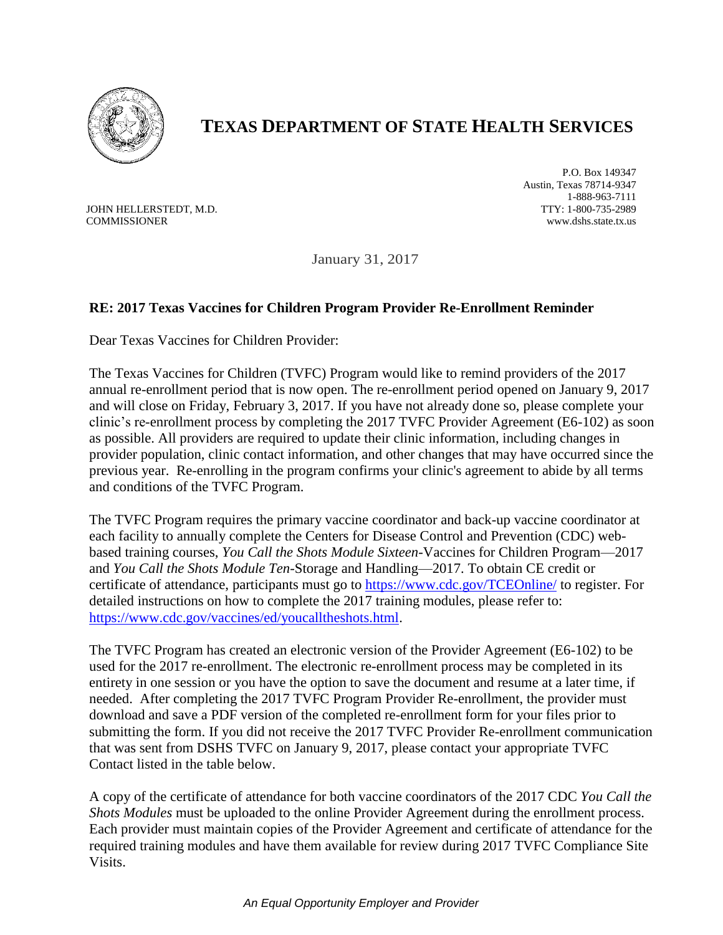

## **TEXAS DEPARTMENT OF STATE HEALTH SERVICES**

JOHN HELLERSTEDT, M.D. COMMISSIONER

P.O. Box 149347 Austin, Texas 78714-9347 1-888-963-7111 TTY: 1-800-735-2989 www.dshs.state.tx.us

January 31, 2017

## **RE: 2017 Texas Vaccines for Children Program Provider Re-Enrollment Reminder**

Dear Texas Vaccines for Children Provider:

The Texas Vaccines for Children (TVFC) Program would like to remind providers of the 2017 annual re-enrollment period that is now open. The re-enrollment period opened on January 9, 2017 and will close on Friday, February 3, 2017. If you have not already done so, please complete your clinic's re-enrollment process by completing the 2017 TVFC Provider Agreement (E6-102) as soon as possible. All providers are required to update their clinic information, including changes in provider population, clinic contact information, and other changes that may have occurred since the previous year. Re-enrolling in the program confirms your clinic's agreement to abide by all terms and conditions of the TVFC Program.

The TVFC Program requires the primary vaccine coordinator and back-up vaccine coordinator at each facility to annually complete the Centers for Disease Control and Prevention (CDC) webbased training courses, *You Call the Shots Module Sixteen-*Vaccines for Children Program—2017 and *You Call the Shots Module Ten-*Storage and Handling—2017. To obtain CE credit or certificate of attendance, participants must go to<https://www.cdc.gov/TCEOnline/> to register. For detailed instructions on how to complete the 2017 training modules, please refer to: [https://www.cdc.gov/vaccines/ed/youcalltheshots.html.](https://www.cdc.gov/vaccines/ed/youcalltheshots.html)

The TVFC Program has created an electronic version of the Provider Agreement (E6-102) to be used for the 2017 re-enrollment. The electronic re-enrollment process may be completed in its entirety in one session or you have the option to save the document and resume at a later time, if needed. After completing the 2017 TVFC Program Provider Re-enrollment, the provider must download and save a PDF version of the completed re-enrollment form for your files prior to submitting the form. If you did not receive the 2017 TVFC Provider Re-enrollment communication that was sent from DSHS TVFC on January 9, 2017, please contact your appropriate TVFC Contact listed in the table below.

A copy of the certificate of attendance for both vaccine coordinators of the 2017 CDC *You Call the Shots Modules* must be uploaded to the online Provider Agreement during the enrollment process. Each provider must maintain copies of the Provider Agreement and certificate of attendance for the required training modules and have them available for review during 2017 TVFC Compliance Site Visits.